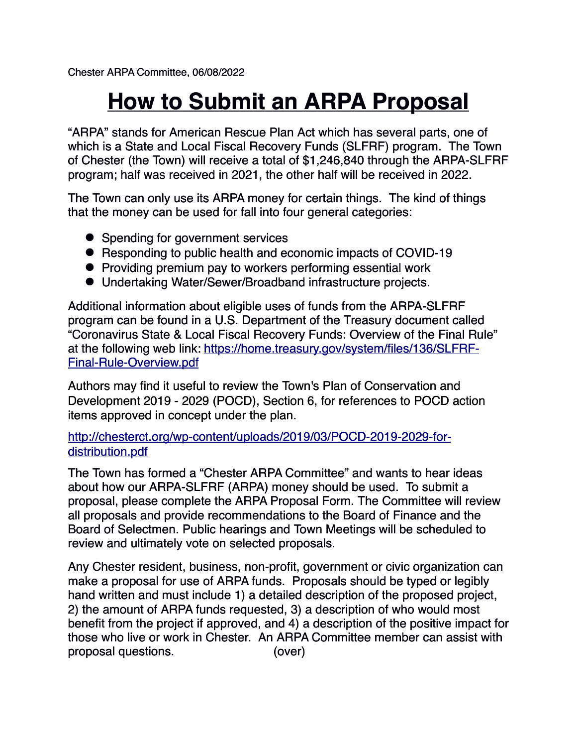# **How to Submit an ARPA Proposal**

"ARPA" stands for American Rescue Plan Act which has several parts, one of which is a State and Local Fiscal Recovery Funds (SLFRF) program. The Town of Chester (the Town) will receive a total of \$1,246,840 through the ARPA-SLFRF program; half was received in 2021, the other half will be received in 2022.

The Town can only use its ARPA money for certain things. The kind of things that the money can be used for fall into four general categories:

- Spending for government services
- Responding to public health and economic impacts of COVID-19
- ! Providing premium pay to workers performing essential work
- ! Undertaking Water/Sewer/Broadband infrastructure projects.

Additional information about eligible uses of funds from the ARPA-SLFRF program can be found in a U.S. Department of the Treasury document called "Coronavirus State & Local Fiscal Recovery Funds: Overview of the Final Rule" at the following web link: [https://home.treasury.gov/system/files/136/SLFRF-](https://home.treasury.gov/system/files/136/SLFRF-Final-Rule-Overview.pdf)[Final-Rule-Overview.pdf](https://home.treasury.gov/system/files/136/SLFRF-Final-Rule-Overview.pdf)

Authors may find it useful to review the Town's Plan of Conservation and Development 2019 - 2029 (POCD), Section 6, for references to POCD action items approved in concept under the plan.

[http://chesterct.org/wp-content/uploads/2019/03/POCD-2019-2029-for](http://chesterct.org/wp-content/uploads/2019/03/POCD-2019-2029-for-distribution.pdf)[distribution.pdf](http://chesterct.org/wp-content/uploads/2019/03/POCD-2019-2029-for-distribution.pdf)

The Town has formed a "Chester ARPA Committee" and wants to hear ideas about how our ARPA-SLFRF (ARPA) money should be used. To submit a proposal, please complete the ARPA Proposal Form. The Committee will review all proposals and provide recommendations to the Board of Finance and the Board of Selectmen. Public hearings and Town Meetings will be scheduled to review and ultimately vote on selected proposals.

Any Chester resident, business, non-profit, government or civic organization can make a proposal for use of ARPA funds. Proposals should be typed or legibly hand written and must include 1) a detailed description of the proposed project, 2) the amount of ARPA funds requested, 3) a description of who would most benefit from the project if approved, and 4) a description of the positive impact for those who live or work in Chester. An ARPA Committee member can assist with proposal questions. (over)